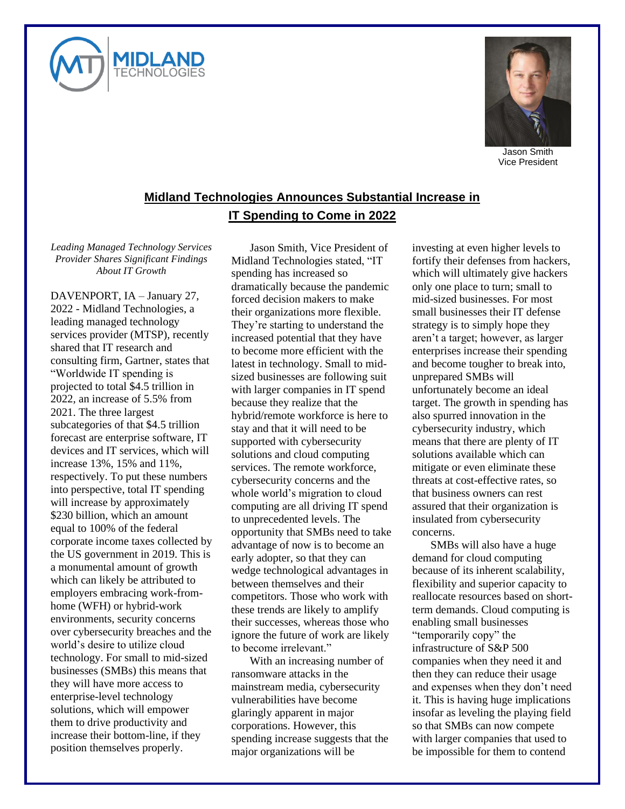



Jason Smith Vice President

## **Midland Technologies Announces Substantial Increase in IT Spending to Come in 2022**

*Leading Managed Technology Services Provider Shares Significant Findings About IT Growth*

DAVENPORT, IA – January 27, 2022 - Midland Technologies, a leading managed technology services provider (MTSP), recently shared that IT research and consulting firm, Gartner, states that "Worldwide IT spending is projected to total \$4.5 trillion in 2022, an increase of 5.5% from 2021. The three largest subcategories of that \$4.5 trillion forecast are enterprise software, IT devices and IT services, which will increase 13%, 15% and 11%, respectively. To put these numbers into perspective, total IT spending will increase by approximately \$230 billion, which an amount equal to 100% of the federal corporate income taxes collected by the US government in 2019. This is a monumental amount of growth which can likely be attributed to employers embracing work-fromhome (WFH) or hybrid-work environments, security concerns over cybersecurity breaches and the world's desire to utilize cloud technology. For small to mid-sized businesses (SMBs) this means that they will have more access to enterprise-level technology solutions, which will empower them to drive productivity and increase their bottom-line, if they position themselves properly.

Jason Smith, Vice President of Midland Technologies stated, "IT spending has increased so dramatically because the pandemic forced decision makers to make their organizations more flexible. They're starting to understand the increased potential that they have to become more efficient with the latest in technology. Small to midsized businesses are following suit with larger companies in IT spend because they realize that the hybrid/remote workforce is here to stay and that it will need to be supported with cybersecurity solutions and cloud computing services. The remote workforce, cybersecurity concerns and the whole world's migration to cloud computing are all driving IT spend to unprecedented levels. The opportunity that SMBs need to take advantage of now is to become an early adopter, so that they can wedge technological advantages in between themselves and their competitors. Those who work with these trends are likely to amplify their successes, whereas those who ignore the future of work are likely to become irrelevant."

With an increasing number of ransomware attacks in the mainstream media, cybersecurity vulnerabilities have become glaringly apparent in major corporations. However, this spending increase suggests that the major organizations will be

investing at even higher levels to fortify their defenses from hackers, which will ultimately give hackers only one place to turn; small to mid-sized businesses. For most small businesses their IT defense strategy is to simply hope they aren't a target; however, as larger enterprises increase their spending and become tougher to break into, unprepared SMBs will unfortunately become an ideal target. The growth in spending has also spurred innovation in the cybersecurity industry, which means that there are plenty of IT solutions available which can mitigate or even eliminate these threats at cost-effective rates, so that business owners can rest assured that their organization is insulated from cybersecurity concerns.

SMBs will also have a huge demand for cloud computing because of its inherent scalability, flexibility and superior capacity to reallocate resources based on shortterm demands. Cloud computing is enabling small businesses "temporarily copy" the infrastructure of S&P 500 companies when they need it and then they can reduce their usage and expenses when they don't need it. This is having huge implications insofar as leveling the playing field so that SMBs can now compete with larger companies that used to be impossible for them to contend